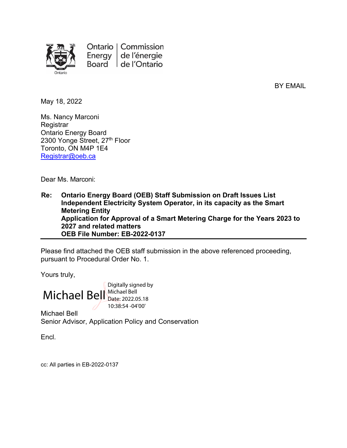

Ontario | Commission Energy de l'énergie Board de l'Ontario

BY EMAIL

May 18, 2022

Ms. Nancy Marconi **Registrar** Ontario Energy Board 2300 Yonge Street, 27th Floor Toronto, ON M4P 1E4 [Registrar@oeb.ca](mailto:Registrar@oeb.ca)

Dear Ms. Marconi:

**Re: Ontario Energy Board (OEB) Staff Submission on Draft Issues List Independent Electricity System Operator, in its capacity as the Smart Metering Entity Application for Approval of a Smart Metering Charge for the Years 2023 to 2027 and related matters OEB File Number: EB-2022-0137**

Please find attached the OEB staff submission in the above referenced proceeding, pursuant to Procedural Order No. 1.

Yours truly,

Michael Bell Michael Bell Digitally signed by Date: 2022.05.18 10:38:54 -04'00'

Michael Bell Senior Advisor, Application Policy and Conservation

Encl.

cc: All parties in EB-2022-0137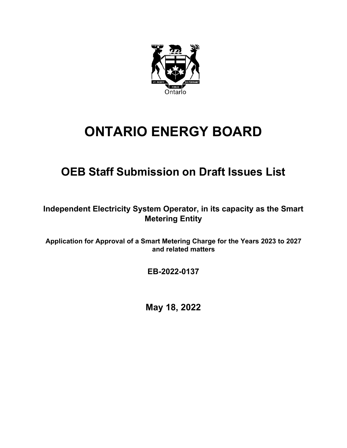

# **ONTARIO ENERGY BOARD**

## **OEB Staff Submission on Draft Issues List**

**Independent Electricity System Operator, in its capacity as the Smart Metering Entity**

**Application for Approval of a Smart Metering Charge for the Years 2023 to 2027 and related matters**

**EB-2022-0137**

**May 18, 2022**